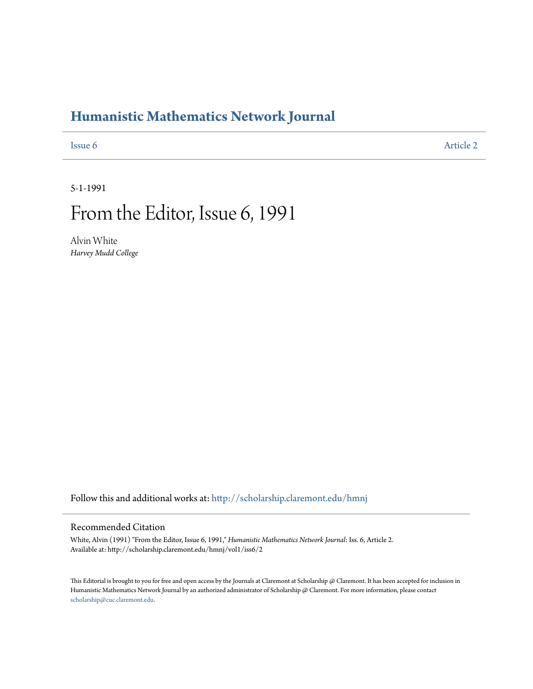## **[Humanistic Mathematics Network Journal](http://scholarship.claremont.edu/hmnj?utm_source=scholarship.claremont.edu%2Fhmnj%2Fvol1%2Fiss6%2F2&utm_medium=PDF&utm_campaign=PDFCoverPages)**

**[Issue 6](http://scholarship.claremont.edu/hmnj/vol1/iss6?utm_source=scholarship.claremont.edu%2Fhmnj%2Fvol1%2Fiss6%2F2&utm_medium=PDF&utm_campaign=PDFCoverPages)** [Article 2](http://scholarship.claremont.edu/hmnj/vol1/iss6/2?utm_source=scholarship.claremont.edu%2Fhmnj%2Fvol1%2Fiss6%2F2&utm_medium=PDF&utm_campaign=PDFCoverPages)

5-1-1991

## From the Editor, Issue 6, 1991

Alvin White *Harvey Mudd College*

Follow this and additional works at: [http://scholarship.claremont.edu/hmnj](http://scholarship.claremont.edu/hmnj?utm_source=scholarship.claremont.edu%2Fhmnj%2Fvol1%2Fiss6%2F2&utm_medium=PDF&utm_campaign=PDFCoverPages)

## Recommended Citation

White, Alvin (1991) "From the Editor, Issue 6, 1991," *Humanistic Mathematics Network Journal*: Iss. 6, Article 2. Available at: http://scholarship.claremont.edu/hmnj/vol1/iss6/2

This Editorial is brought to you for free and open access by the Journals at Claremont at Scholarship @ Claremont. It has been accepted for inclusion in Humanistic Mathematics Network Journal by an authorized administrator of Scholarship @ Claremont. For more information, please contact [scholarship@cuc.claremont.edu.](mailto:scholarship@cuc.claremont.edu)